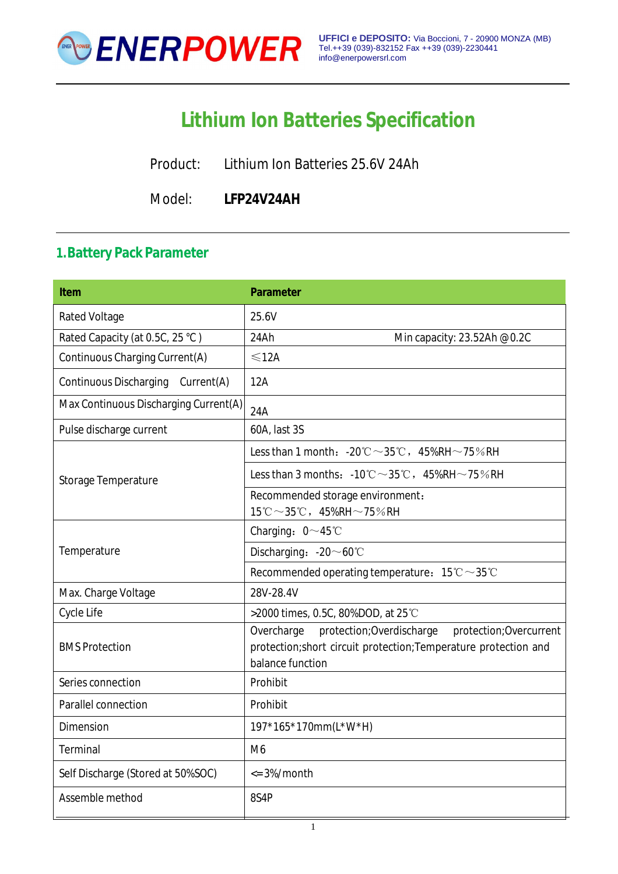

# **Lithium Ion Batteries Specification**

Product: Lithium Ion Batteries 25.6V 24Ah

Model: **LFP24V24AH**

### **1.Battery Pack Parameter**

| <b>Item</b>                                 | <b>Parameter</b>                                                                                                                                           |
|---------------------------------------------|------------------------------------------------------------------------------------------------------------------------------------------------------------|
| <b>Rated Voltage</b>                        | 25.6V                                                                                                                                                      |
| Rated Capacity (at 0.5C, 25 °C)             | 24Ah<br>Min capacity: 23.52Ah @0.2C                                                                                                                        |
| Continuous Charging Current(A)              | $\leq 12A$                                                                                                                                                 |
| <b>Continuous Discharging</b><br>Current(A) | 12A                                                                                                                                                        |
| Max Continuous Discharging Current(A)       | 24A                                                                                                                                                        |
| Pulse discharge current                     | 60A, last 3S                                                                                                                                               |
|                                             | Less than 1 month: $-20^{\circ}\text{C} \sim 35^{\circ}\text{C}$ , $45\%$ RH $\sim$ 75% RH                                                                 |
| Storage Temperature                         | Less than 3 months: $-10^{\circ}\text{C} \sim 35^{\circ}\text{C}$ , $45\%$ RH $\sim$ 75%RH                                                                 |
|                                             | Recommended storage environment:                                                                                                                           |
|                                             | $15^{\circ}\text{C} \sim 35^{\circ}\text{C}$ , $45\%$ RH $\sim$ 75%RH                                                                                      |
|                                             | Charging: $0 \sim 45^{\circ}$ C                                                                                                                            |
| Temperature                                 | Discharging: -20~60°C                                                                                                                                      |
|                                             | Recommended operating temperature: $15^{\circ}\text{C} \sim 35^{\circ}\text{C}$                                                                            |
| Max. Charge Voltage                         | 28V-28.4V                                                                                                                                                  |
| Cycle Life                                  | >2000 times, 0.5C, 80%DOD, at 25°C                                                                                                                         |
| <b>BMS Protection</b>                       | protection; Overdischarge<br>Overcharge<br>protection; Overcurrent<br>protection; short circuit protection; Temperature protection and<br>balance function |
| Series connection                           | Prohibit                                                                                                                                                   |
| Parallel connection                         | Prohibit                                                                                                                                                   |
| Dimension                                   | 197*165*170mm(L*W*H)                                                                                                                                       |
| Terminal                                    | M <sub>6</sub>                                                                                                                                             |
| Self Discharge (Stored at 50%SOC)           | $\epsilon$ = 3%/month                                                                                                                                      |
| Assemble method                             | 8S4P                                                                                                                                                       |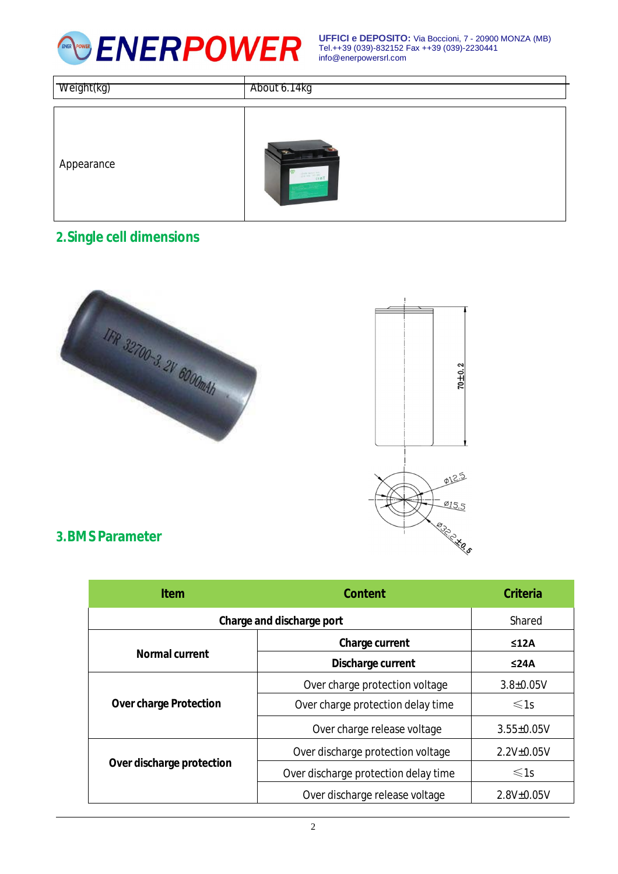

**UFFICI e DEPOSITO:** Via Boccioni, 7 - 20900 MONZA (MB) Tel.++39 (039)-832152 Fax ++39 (039)-2230441 [info@enerpowersrl.com](mailto:info@enerpowersrl.com)

| Weight(kg) | About 6.14kg                                                                                                                                                                                                                                                                                                                                                                                                                                                                                                     |
|------------|------------------------------------------------------------------------------------------------------------------------------------------------------------------------------------------------------------------------------------------------------------------------------------------------------------------------------------------------------------------------------------------------------------------------------------------------------------------------------------------------------------------|
| Appearance | $\equiv$ $\equiv$<br>$\begin{array}{l} \mbox{Linear form} \quad \mbox{for} \quad \mbox{for} \quad \mbox{for} \quad \mbox{for} \quad \mbox{for} \quad \mbox{for} \quad \mbox{for} \quad \mbox{for} \quad \mbox{for} \quad \mbox{for} \quad \mbox{for} \quad \mbox{for} \quad \mbox{for} \quad \mbox{for} \quad \mbox{for} \quad \mbox{for} \quad \mbox{for} \quad \mbox{for} \quad \mbox{for} \quad \mbox{for} \quad \mbox{for} \quad \mbox{for} \quad \mbox{for} \quad \mbox{for} \quad \mbox{for} \quad \mbox{$ |

# **2.Single cell dimensions**



#### **3.BMS Parameter**

| <b>Item</b>                   | <b>Content</b>                       | <b>Criteria</b>   |
|-------------------------------|--------------------------------------|-------------------|
| Charge and discharge port     |                                      | Shared            |
| <b>Normal current</b>         | <b>Charge current</b>                | ≤12A              |
|                               | Discharge current                    | ≤24A              |
| <b>Over charge Protection</b> | Over charge protection voltage       | $3.8 \pm 0.05V$   |
|                               | Over charge protection delay time    | $\leq 1s$         |
|                               | Over charge release voltage          | $3.55 \pm 0.05V$  |
| Over discharge protection     | Over discharge protection voltage    | $2.2V_{\pm}0.05V$ |
|                               | Over discharge protection delay time | $\leq 1s$         |
|                               | Over discharge release voltage       | $2.8V_{\pm}0.05V$ |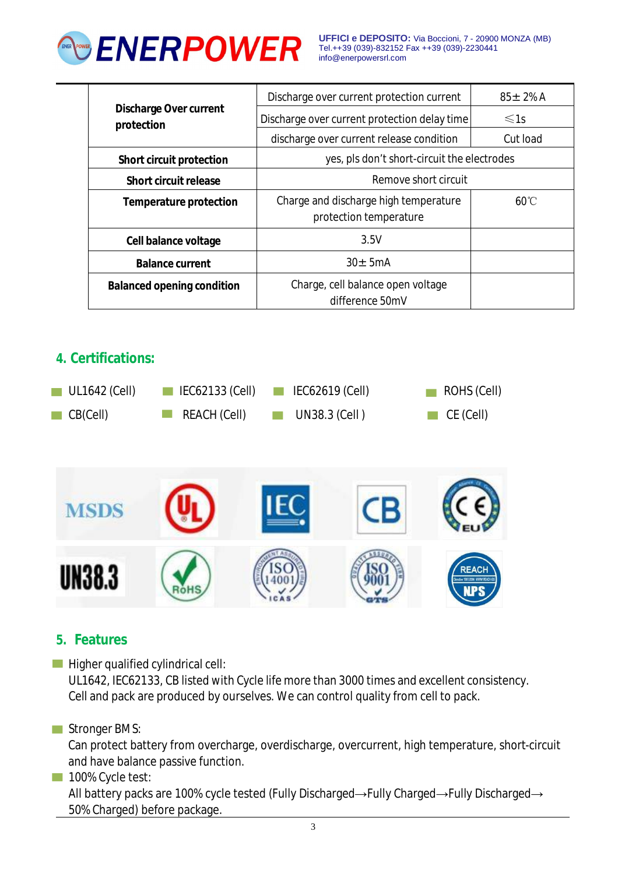

**UFFICI e DEPOSITO:** Via Boccioni, 7 - 20900 MONZA (MB) Tel.++39 (039)-832152 Fax ++39 (039)-2230441 [info@enerpowersrl.com](mailto:info@enerpowersrl.com)

| <b>Discharge Over current</b><br>protection | Discharge over current protection current                       | $85 + 2\%$ A |
|---------------------------------------------|-----------------------------------------------------------------|--------------|
|                                             | Discharge over current protection delay time                    | $\leq 1s$    |
|                                             | discharge over current release condition                        | Cut load     |
| <b>Short circuit protection</b>             | yes, pls don't short-circuit the electrodes                     |              |
| Short circuit release                       | Remove short circuit                                            |              |
| <b>Temperature protection</b>               | Charge and discharge high temperature<br>protection temperature | 60°C         |
|                                             |                                                                 |              |
| Cell balance voltage                        | 3.5V                                                            |              |
| <b>Balance current</b>                      | $30 + 5mA$                                                      |              |
| <b>Balanced opening condition</b>           | Charge, cell balance open voltage<br>difference 50mV            |              |

### **4. Certifications:**



#### **5. Features**

 $\blacksquare$  Higher qualified cylindrical cell:

UL1642, IEC62133, CB listed with Cycle life more than 3000 times and excellent consistency. Cell and pack are produced by ourselves. We can control quality from cell to pack.

Stronger BMS:

Can protect battery from overcharge, overdischarge, overcurrent, high temperature, short-circuit and have balance passive function.

100% Cycle test:

All battery packs are 100% cycle tested (Fully Discharged→Fully Charged→Fully Discharged→ 50% Charged) before package.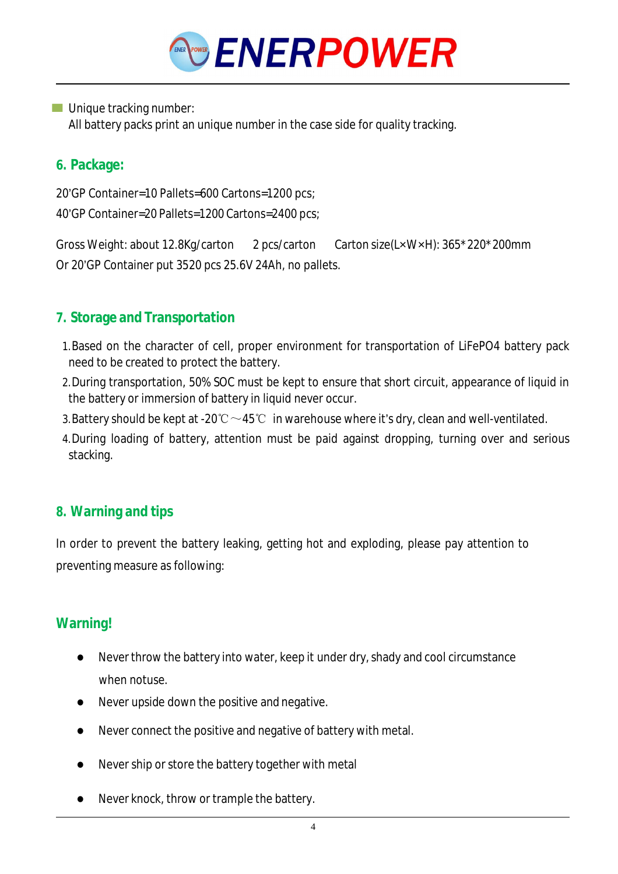

**Unique tracking number:** 

All battery packs print an unique number in the case side for quality tracking.

### **6. Package:**

20'GP Container=10 Pallets=600 Cartons=1200 pcs; 40'GP Container=20 Pallets=1200 Cartons=2400 pcs;

Gross Weight: about 12.8Kg/carton 2 pcs/carton Carton size(LxWxH): 365\*220\*200mm Or 20'GP Container put 3520 pcs 25.6V 24Ah, no pallets.

# **7. Storage and Transportation**

- 1.Based on the character of cell, proper environment for transportation of LiFePO4 battery pack need to be created to protect the battery.
- 2.During transportation, 50% SOC must be kept to ensure that short circuit, appearance of liquid in the battery or immersion of battery in liquid never occur.
- 3. Battery should be kept at -20℃  $\sim$  45℃ in warehouse where it's dry, clean and well-ventilated.
- 4.During loading of battery, attention must be paid against dropping, turning over and serious stacking.

## **8. Warning and tips**

In order to prevent the battery leaking, getting hot and exploding, please pay attention to preventing measure as following:

## **Warning!**

- Never throw the battery into water, keep it under dry, shady and cool circumstance when notuse
- Never upside down the positive and negative.
- Never connect the positive and negative of battery with metal.
- Never ship or store the battery together with metal
- Never knock, throw or trample the battery.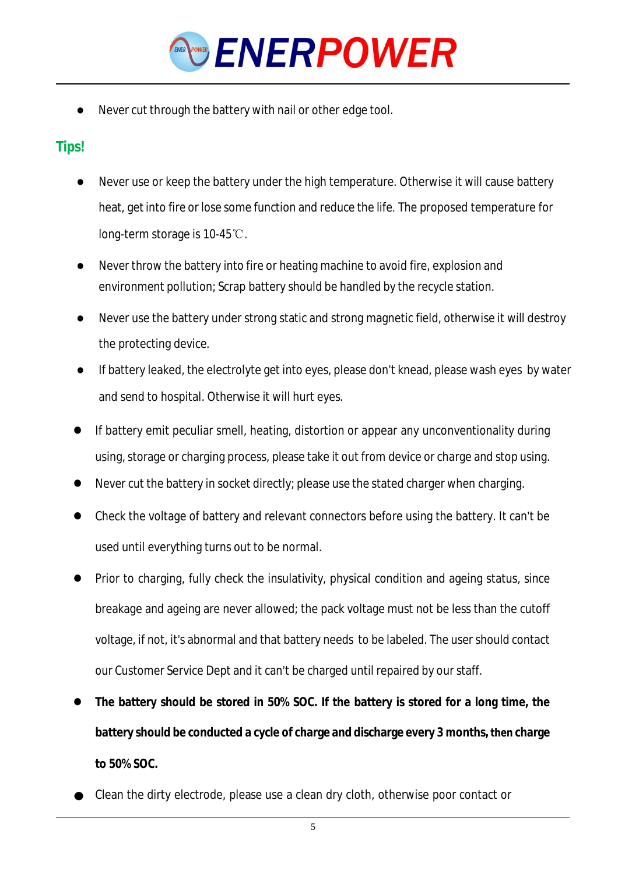

Never cut through the battery with nail or other edge tool.

# **Tips!**

- Never use or keep the battery under the high temperature. Otherwise it will cause battery heat, getinto fire or lose some function and reduce the life. The proposed temperature for long-term storage is 10-45℃.
- Never throw the battery into fire or heating machine to avoid fire, explosion and environment pollution; Scrap battery should be handled by the recycle station.
- Never use the battery under strong static and strong magnetic field, otherwise it will destroy the protecting device.
- If battery leaked, the electrolyte get into eyes, please don't knead, please wash eyes by water and send to hospital. Otherwise it will hurt eyes.
- If battery emit peculiar smell, heating, distortion or appear any unconventionality during using, storage or charging process, please take it out from device or charge and stop using.
- Never cut the battery in socket directly; please use the stated charger when charging.
- Check the voltage of battery and relevant connectors before using the battery. It can't be used until everything turns out to be normal.
- Prior to charging, fully check the insulativity, physical condition and ageing status, since breakage and ageing are never allowed; the pack voltage must not be less than the cutoff voltage, if not, it's abnormal and that battery needs to be labeled. The user should contact our Customer Service Dept and it can't be charged until repaired by ourstaff.
- **The battery should be stored in 50% SOC. If the battery is stored for a long time, the battery should be conducted a cycle of charge and discharge every 3 months, then charge to 50% SOC.**
- Clean the dirty electrode, please use a clean dry cloth, otherwise poor contact or